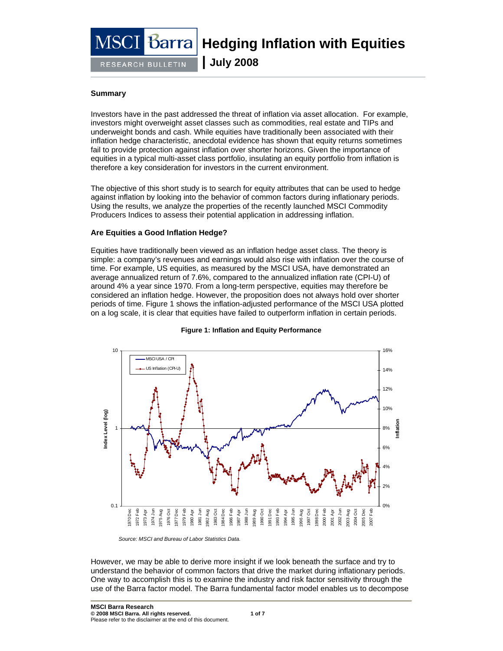# barra

RESEARCH BULLETIN

**Hedging Inflation with Equities** 

**| July 2008**

## **Summary**

Investors have in the past addressed the threat of inflation via asset allocation. For example, investors might overweight asset classes such as commodities, real estate and TIPs and underweight bonds and cash. While equities have traditionally been associated with their inflation hedge characteristic, anecdotal evidence has shown that equity returns sometimes fail to provide protection against inflation over shorter horizons. Given the importance of equities in a typical multi-asset class portfolio, insulating an equity portfolio from inflation is therefore a key consideration for investors in the current environment.

The objective of this short study is to search for equity attributes that can be used to hedge against inflation by looking into the behavior of common factors during inflationary periods. Using the results, we analyze the properties of the recently launched MSCI Commodity Producers Indices to assess their potential application in addressing inflation.

## **Are Equities a Good Inflation Hedge?**

Equities have traditionally been viewed as an inflation hedge asset class. The theory is simple: a company's revenues and earnings would also rise with inflation over the course of time. For example, US equities, as measured by the MSCI USA, have demonstrated an average annualized return of 7.6%, compared to the annualized inflation rate (CPI-U) of around 4% a year since 1970. From a long-term perspective, equities may therefore be considered an inflation hedge. However, the proposition does not always hold over shorter periods of time. Figure 1 shows the inflation-adjusted performance of the MSCI USA plotted on a log scale, it is clear that equities have failed to outperform inflation in certain periods.



**Figure 1: Inflation and Equity Performance** 

*Source: MSCI and Bureau of Labor Statistics Data.* 

However, we may be able to derive more insight if we look beneath the surface and try to understand the behavior of common factors that drive the market during inflationary periods. One way to accomplish this is to examine the industry and risk factor sensitivity through the use of the Barra factor model. The Barra fundamental factor model enables us to decompose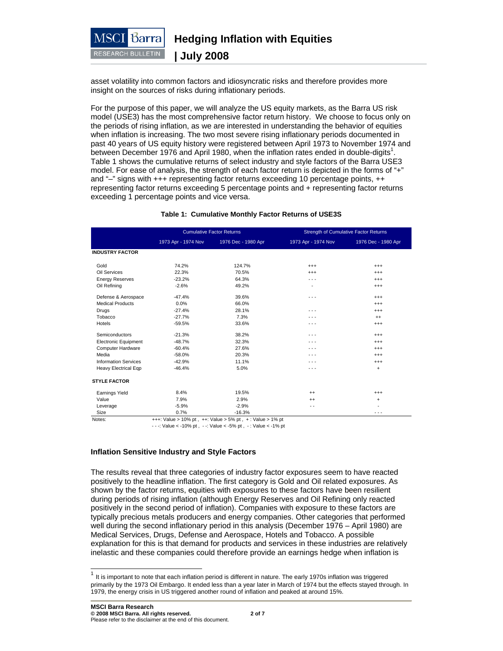

asset volatility into common factors and idiosyncratic risks and therefore provides more insight on the sources of risks during inflationary periods.

For the purpose of this paper, we will analyze the US equity markets, as the Barra US risk model (USE3) has the most comprehensive factor return history. We choose to focus only on the periods of rising inflation, as we are interested in understanding the behavior of equities when inflation is increasing. The two most severe rising inflationary periods documented in past 40 years of US equity history were registered between April 1973 to November 1974 and between December 1976 and April 1980, when the inflation rates ended in double-digits<sup>1</sup>. Table 1 shows the cumulative returns of select industry and style factors of the Barra USE3 model. For ease of analysis, the strength of each factor return is depicted in the forms of "+" and "–" signs with +++ representing factor returns exceeding 10 percentage points, ++ representing factor returns exceeding 5 percentage points and + representing factor returns exceeding 1 percentage points and vice versa.

| Table 1: Cumulative Monthly Factor Returns of USE3S |                                              |  |
|-----------------------------------------------------|----------------------------------------------|--|
| <b>Cumulative Factor Returns</b>                    | <b>Strength of Cumulative Factor Returns</b> |  |

|                             | <b>CUITURNIVE L'ACIUT INCIUITIO</b> |                     | Strenger or Curriciative Factor Returns |                     |  |
|-----------------------------|-------------------------------------|---------------------|-----------------------------------------|---------------------|--|
|                             | 1973 Apr - 1974 Nov                 | 1976 Dec - 1980 Apr | 1973 Apr - 1974 Nov                     | 1976 Dec - 1980 Apr |  |
| <b>INDUSTRY FACTOR</b>      |                                     |                     |                                         |                     |  |
| Gold                        | 74.2%                               | 124.7%              | $^{+++}$                                | $^{++}$             |  |
| Oil Services                | 22.3%                               | 70.5%               | $^{+++}$                                | $^{+++}$            |  |
| <b>Energy Reserves</b>      | $-23.2%$                            | 64.3%               | .                                       | $^{+++}$            |  |
| Oil Refining                | $-2.6%$                             | 49.2%               | ٠                                       | $^{+++}$            |  |
| Defense & Aerospace         | $-47.4%$                            | 39.6%               | $\sim$ $\sim$ $\sim$                    | $^{+++}$            |  |
| <b>Medical Products</b>     | 0.0%                                | 66.0%               |                                         | $^{++}$             |  |
| Drugs                       | $-27.4%$                            | 28.1%               | - - -                                   | $^{+++}$            |  |
| Tobacco                     | $-27.7%$                            | 7.3%                | - - -                                   | $^{++}$             |  |
| Hotels                      | $-59.5%$                            | 33.6%               | - - -                                   | $^{+++}$            |  |
| Semiconductors              | $-21.3%$                            | 38.2%               | $- - -$                                 | $^{+++}$            |  |
| <b>Electronic Equipment</b> | $-48.7%$                            | 32.3%               | - - -                                   | $^{+++}$            |  |
| Computer Hardware           | $-60.4%$                            | 27.6%               | - - -                                   | $^{+++}$            |  |
| Media                       | $-58.0%$                            | 20.3%               | - - -                                   | $^{+++}$            |  |
| <b>Information Services</b> | $-42.9%$                            | 11.1%               | - - -                                   | $^{+++}$            |  |
| <b>Heavy Electrical Eqp</b> | $-46.4%$                            | 5.0%                | - - -                                   | $\ddot{}$           |  |
| <b>STYLE FACTOR</b>         |                                     |                     |                                         |                     |  |
| <b>Earnings Yield</b>       | 8.4%                                | 19.5%               | $^{++}$                                 | $^{+++}$            |  |
| Value                       | 7.9%                                | 2.9%                | $^{++}$                                 | $\ddot{}$           |  |
| Leverage                    | $-5.9%$                             | $-2.9%$             | - -                                     |                     |  |
| Size                        | 0.7%                                | $-16.3%$            |                                         | - - -               |  |

Notes:  $+++$ : Value > 10% pt ,  $++$ : Value > 5% pt ,  $+$ : Value > 1% pt

- - -: Value < -10% pt , - -: Value < -5% pt , - : Value < -1% pt

#### **Inflation Sensitive Industry and Style Factors**

The results reveal that three categories of industry factor exposures seem to have reacted positively to the headline inflation. The first category is Gold and Oil related exposures. As shown by the factor returns, equities with exposures to these factors have been resilient during periods of rising inflation (although Energy Reserves and Oil Refining only reacted positively in the second period of inflation). Companies with exposure to these factors are typically precious metals producers and energy companies. Other categories that performed well during the second inflationary period in this analysis (December 1976 – April 1980) are Medical Services, Drugs, Defense and Aerospace, Hotels and Tobacco. A possible explanation for this is that demand for products and services in these industries are relatively inelastic and these companies could therefore provide an earnings hedge when inflation is

 $\overline{a}$ 

It is important to note that each inflation period is different in nature. The early 1970s inflation was triggered primarily by the 1973 Oil Embargo. It ended less than a year later in March of 1974 but the effects stayed through. In 1979, the energy crisis in US triggered another round of inflation and peaked at around 15%.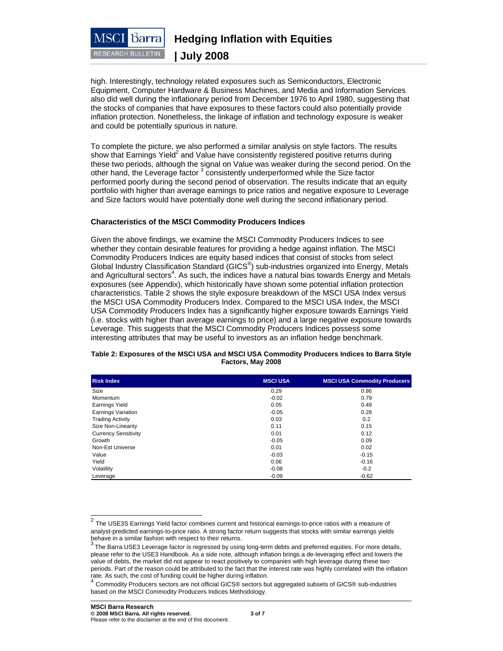

high. Interestingly, technology related exposures such as Semiconductors, Electronic Equipment, Computer Hardware & Business Machines, and Media and Information Services also did well during the inflationary period from December 1976 to April 1980, suggesting that the stocks of companies that have exposures to these factors could also potentially provide inflation protection. Nonetheless, the linkage of inflation and technology exposure is weaker and could be potentially spurious in nature.

To complete the picture, we also performed a similar analysis on style factors. The results show that Earnings Yield<sup>2</sup> and Value have consistently registered positive returns during these two periods, although the signal on Value was weaker during the second period. On the other hand, the Leverage factor<sup>3</sup> consistently underperformed while the Size factor performed poorly during the second period of observation. The results indicate that an equity portfolio with higher than average earnings to price ratios and negative exposure to Leverage and Size factors would have potentially done well during the second inflationary period.

## **Characteristics of the MSCI Commodity Producers Indices**

Given the above findings, we examine the MSCI Commodity Producers Indices to see whether they contain desirable features for providing a hedge against inflation. The MSCI Commodity Producers Indices are equity based indices that consist of stocks from select Global Industry Classification Standard (GICS<sup>®</sup>) sub-industries organized into Energy, Metals and Agricultural sectors<sup>4</sup>. As such, the indices have a natural bias towards Energy and Metals exposures (see Appendix), which historically have shown some potential inflation protection characteristics. Table 2 shows the style exposure breakdown of the MSCI USA Index versus the MSCI USA Commodity Producers Index. Compared to the MSCI USA Index, the MSCI USA Commodity Producers Index has a significantly higher exposure towards Earnings Yield (i.e. stocks with higher than average earnings to price) and a large negative exposure towards Leverage. This suggests that the MSCI Commodity Producers Indices possess some interesting attributes that may be useful to investors as an inflation hedge benchmark.

#### **Table 2: Exposures of the MSCI USA and MSCI USA Commodity Producers Indices to Barra Style Factors, May 2008**

| <b>Risk Index</b>           | <b>MSCI USA</b> | <b>MSCI USA Commodity Producers</b> |
|-----------------------------|-----------------|-------------------------------------|
| Size                        | 0.29            | 0.86                                |
| Momentum                    | $-0.02$         | 0.79                                |
| <b>Earnings Yield</b>       | 0.05            | 0.49                                |
| <b>Earnings Variation</b>   | $-0.05$         | 0.28                                |
| <b>Trading Activity</b>     | 0.03            | 0.2                                 |
| Size Non-Linearity          | 0.11            | 0.15                                |
| <b>Currency Sensitivity</b> | 0.01            | 0.12                                |
| Growth                      | $-0.05$         | 0.09                                |
| Non-Est Universe            | 0.01            | 0.02                                |
| Value                       | $-0.03$         | $-0.15$                             |
| Yield                       | 0.06            | $-0.16$                             |
| Volatility                  | $-0.08$         | $-0.2$                              |
| Leverage                    | $-0.09$         | $-0.62$                             |

 $\overline{a}$ 

 $2$  The USE3S Earnings Yield factor combines current and historical earnings-to-price ratios with a measure of analyst-predicted earnings-to-price ratio. A strong factor return suggests that stocks with similar earnings yields behave in a similar fashion with respect to their returns.

The Barra USE3 Leverage factor is regressed by using long-term debts and preferred equities. For more details, please refer to the USE3 Handbook. As a side note, although inflation brings a de-leveraging effect and lowers the value of debts, the market did not appear to react positively to companies with high leverage during these two periods. Part of the reason could be attributed to the fact that the interest rate was highly correlated with the inflation rate. As such, the cost of funding could be higher during inflation.

<sup>4</sup> Commodity Producers sectors are not official GICS® sectors but aggregated subsets of GICS® sub-industries based on the MSCI Commodity Producers Indices Methodology.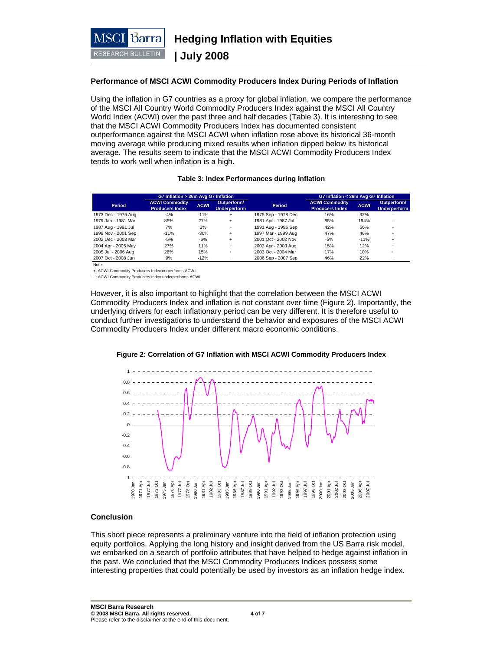

## **Performance of MSCI ACWI Commodity Producers Index During Periods of Inflation**

Using the inflation in G7 countries as a proxy for global inflation, we compare the performance of the MSCI All Country World Commodity Producers Index against the MSCI All Country World Index (ACWI) over the past three and half decades (Table 3). It is interesting to see that the MSCI ACWI Commodity Producers Index has documented consistent outperformance against the MSCI ACWI when inflation rose above its historical 36-month moving average while producing mixed results when inflation dipped below its historical average. The results seem to indicate that the MSCI ACWI Commodity Producers Index tends to work well when inflation is a high.

#### **Table 3: Index Performances during Inflation**

|                     | G7 Inflation > 36m Avg G7 Inflation             |             |                                    |                     | G7 Inflation < 36m Avg G7 Inflation             |             |                                    |
|---------------------|-------------------------------------------------|-------------|------------------------------------|---------------------|-------------------------------------------------|-------------|------------------------------------|
| Period              | <b>ACWI Commodity</b><br><b>Producers Index</b> | <b>ACWI</b> | Outperform/<br><b>Underperform</b> | Period              | <b>ACWI Commodity</b><br><b>Producers Index</b> | <b>ACWI</b> | Outperform/<br><b>Underperform</b> |
| 1973 Dec - 1975 Aug | $-4%$                                           | $-11%$      | $\ddot{}$                          | 1975 Sep - 1978 Dec | 16%                                             | 32%         |                                    |
| 1979 Jan - 1981 Mar | 85%                                             | 27%         | $+$                                | 1981 Apr - 1987 Jul | 85%                                             | 194%        |                                    |
| 1987 Aug - 1991 Jul | 7%                                              | 3%          | $+$                                | 1991 Aug - 1996 Sep | 42%                                             | 56%         |                                    |
| 1999 Nov - 2001 Sep | $-11%$                                          | $-30%$      | $+$                                | 1997 Mar - 1999 Aug | 47%                                             | 46%         |                                    |
| 2002 Dec - 2003 Mar | $-5%$                                           | $-6%$       | $+$                                | 2001 Oct - 2002 Nov | $-5%$                                           | $-11%$      |                                    |
| 2004 Apr - 2005 May | 27%                                             | 11%         | $+$                                | 2003 Apr - 2003 Aug | 15%                                             | 12%         |                                    |
| 2005 Jul - 2006 Aug | 26%                                             | 15%         | $\ddot{}$                          | 2003 Oct - 2004 Mar | 17%                                             | 10%         |                                    |
| 2007 Oct - 2008 Jun | 9%                                              | $-12%$      |                                    | 2006 Sep - 2007 Sep | 46%                                             | 22%         |                                    |

Note:

+: ACWI Commodity Producers Index outperforms ACWI

- : ACWI Commodity Producers Index underperforms ACWI

However, it is also important to highlight that the correlation between the MSCI ACWI Commodity Producers Index and inflation is not constant over time (Figure 2). Importantly, the underlying drivers for each inflationary period can be very different. It is therefore useful to conduct further investigations to understand the behavior and exposures of the MSCI ACWI Commodity Producers Index under different macro economic conditions.

#### **Figure 2: Correlation of G7 Inflation with MSCI ACWI Commodity Producers Index**



#### **Conclusion**

This short piece represents a preliminary venture into the field of inflation protection using equity portfolios. Applying the long history and insight derived from the US Barra risk model, we embarked on a search of portfolio attributes that have helped to hedge against inflation in the past. We concluded that the MSCI Commodity Producers Indices possess some interesting properties that could potentially be used by investors as an inflation hedge index.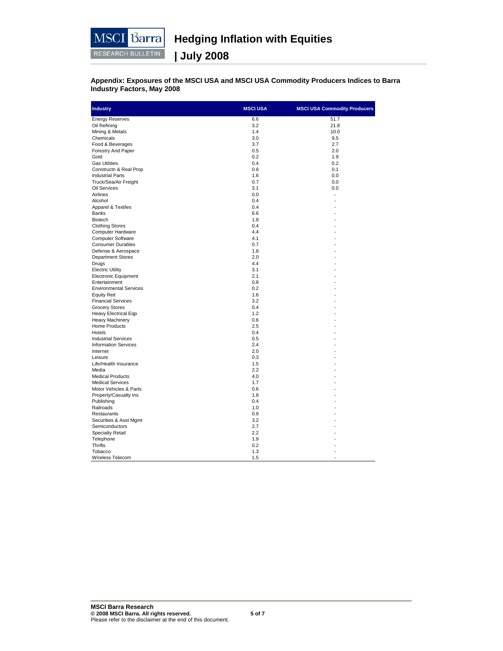

**Appendix: Exposures of the MSCI USA and MSCI USA Commodity Producers Indices to Barra Industry Factors, May 2008** 

| <b>Industry</b>               | <b>MSCI USA</b> | <b>MSCI USA Commodity Producers</b> |
|-------------------------------|-----------------|-------------------------------------|
| <b>Energy Reserves</b>        | 6.6             | 51.7                                |
| Oil Refining                  | 3.2             | 21.8                                |
| Mining & Metals               | 1.4             | 10.0                                |
| Chemicals                     | 3.0             | 9.5                                 |
| Food & Beverages              | 3.7             | 2.7                                 |
| Forestry And Paper            | 0.5             | 2.0                                 |
| Gold                          | 0.2             | 1.9                                 |
| <b>Gas Utilities</b>          | 0.4             | 0.2                                 |
| Constructn & Real Prop        | 0.6             | 0.1                                 |
| <b>Industrial Parts</b>       | 1.6             | 0.0                                 |
| Truck/Sea/Air Freight         | 0.7             | 0.0                                 |
| Oil Services                  | 3.1             | 0.0                                 |
| Airlines                      | 0.0             |                                     |
| Alcohol                       | 0.4             |                                     |
| Apparel & Textiles            | 0.4             |                                     |
| <b>Banks</b>                  | 6.6             |                                     |
| <b>Biotech</b>                | 1.8             |                                     |
| <b>Clothing Stores</b>        | 0.4             |                                     |
| Computer Hardware             | 4.4             |                                     |
| <b>Computer Software</b>      | 4.1             |                                     |
| <b>Consumer Durables</b>      | 0.7             |                                     |
| Defense & Aerospace           | 1.8             |                                     |
| <b>Department Stores</b>      | 2.0             |                                     |
| Drugs                         | 4.4             |                                     |
| <b>Electric Utility</b>       | 3.1             |                                     |
| <b>Electronic Equipment</b>   | 2.1             |                                     |
| Entertainment                 | 0.8             |                                     |
| <b>Environmental Services</b> | 0.2             |                                     |
| <b>Equity Reit</b>            | 1.6             |                                     |
| <b>Financial Services</b>     | 3.2             |                                     |
| <b>Grocery Stores</b>         | 0.4             |                                     |
| Heavy Electrical Eqp          | 1.2             |                                     |
| <b>Heavy Machinery</b>        | 0.6             |                                     |
| Home Products                 | 2.5             |                                     |
| Hotels                        | 0.4             |                                     |
| <b>Industrial Services</b>    | 0.5             |                                     |
| <b>Information Services</b>   | 2.4             |                                     |
| Internet                      | 2.0             |                                     |
|                               |                 |                                     |
| Leisure                       | 0.3             |                                     |
| Life/Health Insurance         | 1.5             |                                     |
| Media                         | 2.2             |                                     |
| <b>Medical Products</b>       | 4.0             |                                     |
| <b>Medical Services</b>       | 1.7             |                                     |
| Motor Vehicles & Parts        | 0.6             |                                     |
| Property/Casualty Ins         | 1.8             |                                     |
| Publishing                    | 0.4             |                                     |
| Railroads                     | 1.0             |                                     |
| Restaurants                   | 0.9             |                                     |
| Securities & Asst Mgmt        | 3.2             |                                     |
| Semiconductors                | 2.7             |                                     |
| <b>Specialty Retail</b>       | 2.2             |                                     |
| Telephone                     | 1.9             |                                     |
| <b>Thrifts</b>                | 0.2             |                                     |
| Tobacco                       | 1.3             |                                     |
| Wireless Telecom              | 1.5             |                                     |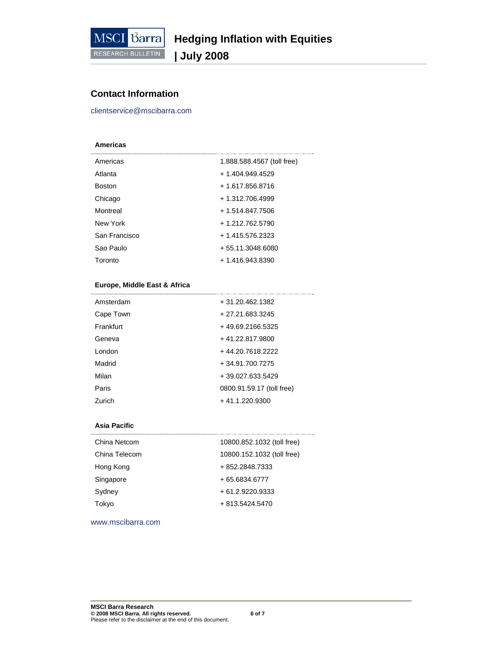

# **Contact Information**

clientservice@mscibarra.com

## **Americas**

| Americas      | 1.888.588.4567 (toll free) |
|---------------|----------------------------|
| Atlanta       | + 1.404.949.4529           |
| <b>Boston</b> | + 1.617.856.8716           |
| Chicago       | + 1.312.706.4999           |
| Montreal      | + 1.514.847.7506           |
| New York      | + 1.212.762.5790           |
| San Francisco | + 1.415.576.2323           |
| Sao Paulo     | + 55.11.3048.6080          |
| Toronto       | + 1.416.943.8390           |

## **Europe, Middle East & Africa**

| Amsterdam | + 31.20.462.1382          |
|-----------|---------------------------|
| Cape Town | + 27.21.683.3245          |
| Frankfurt | +49.69.2166.5325          |
| Geneva    | +41.22.817.9800           |
| London    | +44.20.7618.2222          |
| Madrid    | + 34.91.700.7275          |
| Milan     | + 39.027.633.5429         |
| Paris     | 0800.91.59.17 (toll free) |
| Zurich    | +41.1.220.9300            |

#### **Asia Pacific**

| China Netcom  | 10800.852.1032 (toll free) |
|---------------|----------------------------|
| China Telecom | 10800.152.1032 (toll free) |
| Hong Kong     | + 852.2848.7333            |
| Singapore     | + 65.6834.6777             |
| Sydney        | + 61.2.9220.9333           |
| Tokyo         | $+813.5424.5470$           |

www.mscibarra.com